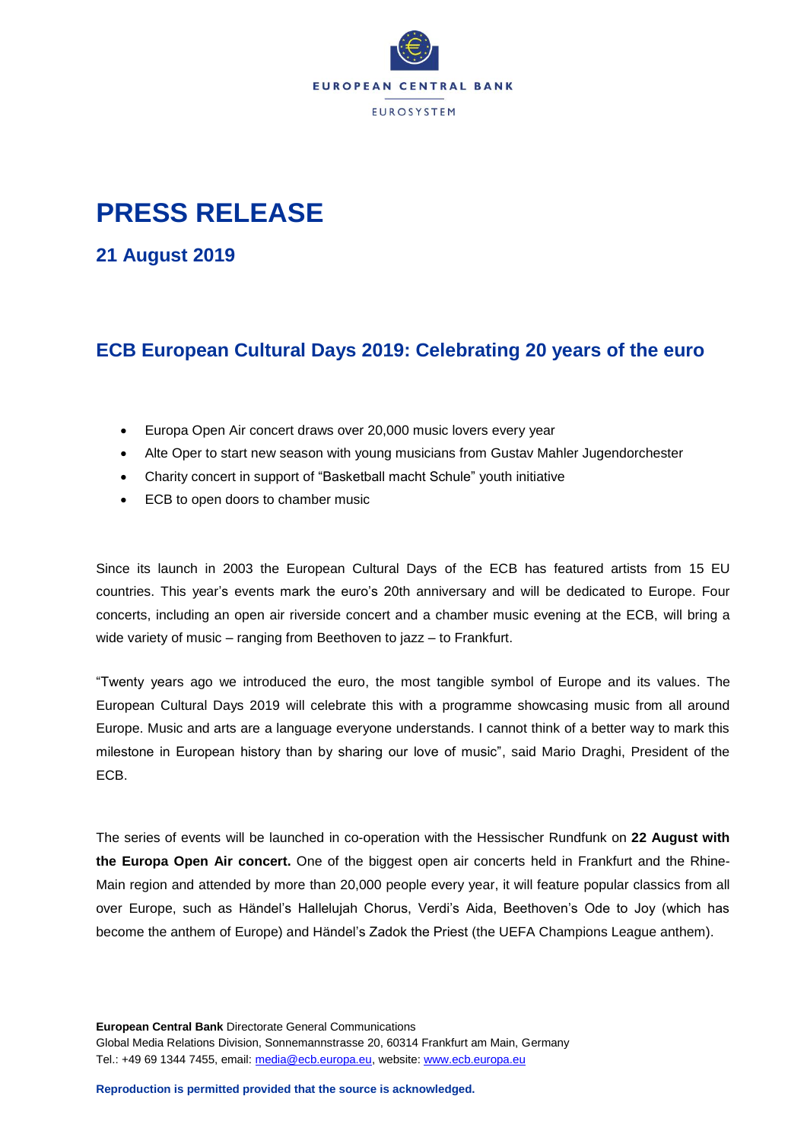

## **PRESS RELEASE**

**21 August 2019**

## **ECB European Cultural Days 2019: Celebrating 20 years of the euro**

- Europa Open Air concert draws over 20,000 music lovers every year
- Alte Oper to start new season with young musicians from Gustav Mahler Jugendorchester
- Charity concert in support of "Basketball macht Schule" youth initiative
- ECB to open doors to chamber music

Since its launch in 2003 the European Cultural Days of the ECB has featured artists from 15 EU countries. This year's events mark the euro's 20th anniversary and will be dedicated to Europe. Four concerts, including an open air riverside concert and a chamber music evening at the ECB, will bring a wide variety of music – ranging from Beethoven to jazz – to Frankfurt.

"Twenty years ago we introduced the euro, the most tangible symbol of Europe and its values. The European Cultural Days 2019 will celebrate this with a programme showcasing music from all around Europe. Music and arts are a language everyone understands. I cannot think of a better way to mark this milestone in European history than by sharing our love of music", said Mario Draghi, President of the ECB.

The series of events will be launched in co-operation with the Hessischer Rundfunk on **22 August with the Europa Open Air concert.** One of the biggest open air concerts held in Frankfurt and the Rhine-Main region and attended by more than 20,000 people every year, it will feature popular classics from all over Europe, such as Händel's Hallelujah Chorus, Verdi's Aida, Beethoven's Ode to Joy (which has become the anthem of Europe) and Händel's Zadok the Priest (the UEFA Champions League anthem).